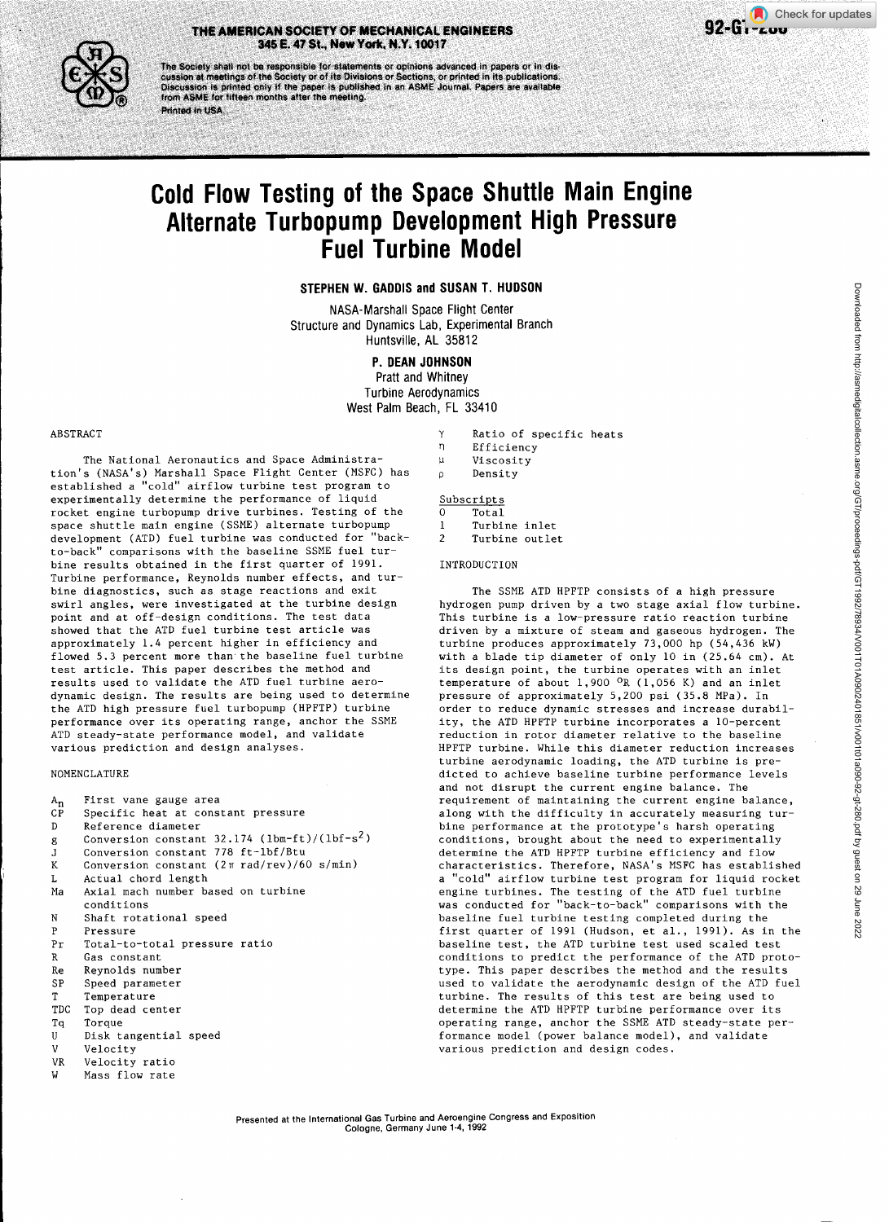## THE AMERICAN SOCIETY OF MECHANICAL ENGINEERS **1994-COMPUTERS** 92-GT-200 345 E. 47 St., Now York, N.Y. 10017

THE AMERICAN SOCIETY OF MECHANICAL ENGINEERS<br>345 E. 47 St., New York, N.Y. 10017<br>The Society shall not be responsible for statements or opinions advanced in papers or in dis<br>cussion at meetings of the Society or of its Div from ASME for fifteen months after the meeting. Printed in USA.

# Cold Flow Testing of the Space Shuttle Main Engine Alternate Turbopump Development High Pressure Fuel Turbine Model

# STEPHEN W. GADDIS and SUSAN T. HUDSON

NASA-Marshall Space Flight Center Structure and Dynamics Lab, Experimental Branch Huntsville, AL 35812

# P. DEAN JOHNSON

Pratt and Whitney Turbine Aerodynamics West Palm Beach, FL 33410

#### ABSTRACT

The National Aeronautics and Space Administration's (NASA's) Marshall Space Flight Center (MSFC) has established a "cold" airflow turbine test program to experimentally determine the performance of liquid rocket engine turbopump drive turbines. Testing of the space shuttle main engine (SSME) alternate turbopump development (ATD) fuel turbine was conducted for "backto-back" comparisons with the baseline SSME fuel turbine results obtained in the first quarter of 1991. Turbine performance, Reynolds number effects, and turbine diagnostics, such as stage reactions and exit swirl angles, were investigated at the turbine design point and at off-design conditions. The test data showed that the ATD fuel turbine test article was approximately 1.4 percent higher in efficiency and flowed 5.3 percent more than the baseline fuel turbine test article. This paper describes the method and results used to validate the ATD fuel turbine aerodynamic design. The results are being used to determine the ATD high pressure fuel turbopump (HPFTP) turbine performance over its operating range, anchor the SSME ATD steady-state performance model, and validate various prediction and design analyses.

#### NOMENCLATURE

| $A_n$        | First vane gauge area                                       |  |  |  |
|--------------|-------------------------------------------------------------|--|--|--|
| CP           | Specific heat at constant pressure                          |  |  |  |
| D            | Reference diameter                                          |  |  |  |
| g            | Conversion constant $32.174$ (1bm-ft)/(1bf-s <sup>2</sup> ) |  |  |  |
| $\mathbf{J}$ | Conversion constant 778 ft-1bf/Btu                          |  |  |  |
| K            | Conversion constant (2π rad/rev)/60 s/min)                  |  |  |  |
| L            | Actual chord length                                         |  |  |  |
|              | Ma Axial mach number based on turbine                       |  |  |  |
|              | conditions                                                  |  |  |  |
|              | N Shaft rotational speed                                    |  |  |  |
| P            | Pressure                                                    |  |  |  |
|              | Pr Total-to-total pressure ratio                            |  |  |  |
|              | R Gas constant                                              |  |  |  |
|              | Re Reynolds number                                          |  |  |  |
| SP           | Speed parameter                                             |  |  |  |
| T            | Temperature                                                 |  |  |  |
| TDC          | Top dead center                                             |  |  |  |
| Tq           | Torque                                                      |  |  |  |
| U            | Disk tangential speed                                       |  |  |  |
|              | V Velocity                                                  |  |  |  |
|              | VR Velocity ratio                                           |  |  |  |
| W            | Mass flow rate                                              |  |  |  |
|              |                                                             |  |  |  |

#### $\mathbf{v}$ Ratio of specific heats n. Efficiency  $\overline{u}$ Viscosity  $\circ$ Density

### Subscripts

| O | Total          |  |
|---|----------------|--|
| ı | Turbine inlet  |  |
| 2 | Turbine outlet |  |

#### INTRODUCTION

The SSME ATD HPFTP consists of a high pressure hydrogen pump driven by a two stage axial flow turbine. This turbine is a low-pressure ratio reaction turbine driven by a mixture of steam and gaseous hydrogen. The turbine produces approximately 73,000 hp (54,436 kW) with a blade tip diameter of only 10 in (25.64 cm). At its design point, the turbine operates with an inlet temperature of about 1,900 OR (1,056 K) and an inlet pressure of approximately 5,200 psi (35.8 MPa). In order to reduce dynamic stresses and increase durability, the ATD HPFTP turbine incorporates a 10-percent reduction in rotor diameter relative to the baseline HPFTP turbine. While this diameter reduction increases turbine aerodynamic loading, the ATD turbine is predicted to achieve baseline turbine performance levels and not disrupt the current engine balance. The requirement of maintaining the current engine balance, along with the difficulty in accurately measuring turbine performance at the prototype's harsh operating conditions, brought about the need to experimentally determine the ATD HPFTP turbine efficiency and flow characteristics. Therefore, NASA's MSFC has established a "cold" airflow turbine test program for liquid rocket engine turbines. The testing of the ATD fuel turbine was conducted for "back-to-back" comparisons with the baseline fuel turbine testing completed during the first quarter of 1991 (Hudson, et al., 1991). As in the baseline test, the ATD turbine test used scaled test conditions to predict the performance of the ATD prototype. This paper describes the method and the results used to validate the aerodynamic design of the ATD fuel turbine. The results of this test are being used to determine the ATD HPFTP turbine performance over its operating range, anchor the SSME ATD steady-state performance model (power balance model), and validate various prediction and design codes.

Check for updates

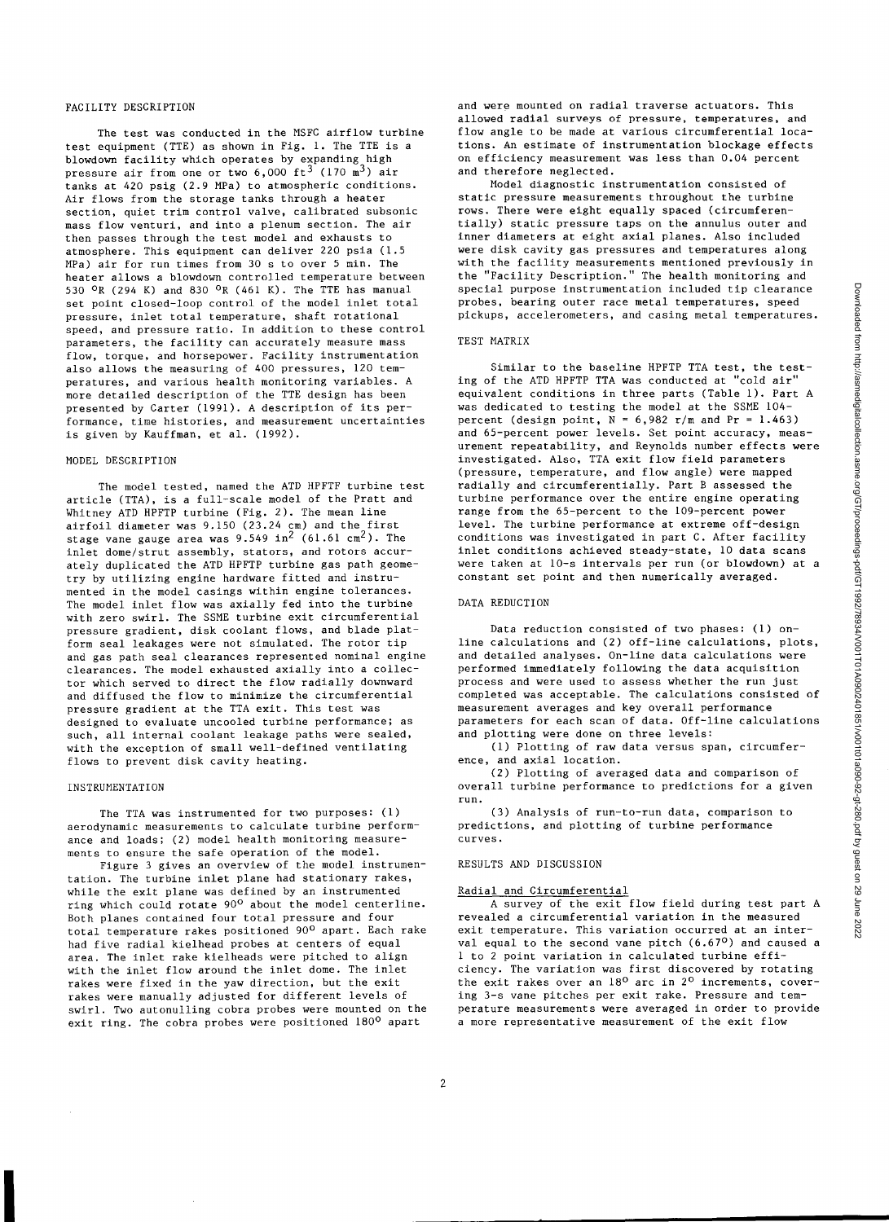### FACILITY DESCRIPTION

The test was conducted in the MSFC airflow turbine test equipment (TTE) as shown in Fig. 1. The TTE is a blowdown facility which operates by expanding high pressure air from one or two  $6.000$  ft<sup>3</sup> (170 m<sup>3</sup>) air tanks at 420 psig (2.9 MPa) to atmospheric conditions. Air flows from the storage tanks through a heater section, quiet trim control valve, calibrated subsonic mass flow venturi, and into a plenum section. The air then passes through the test model and exhausts to atmosphere. This equipment can deliver 220 psia (1.5 MPa) air for run times from 30 s to over 5 min. The heater allows a blowdown controlled temperature between 530 OR (294 K) and 830 OR (461 K). The TTE has manual set point closed-loop control of the model inlet total pressure, inlet total temperature, shaft rotational speed, and pressure ratio. In addition to these control parameters, the facility can accurately measure mass flow, torque, and horsepower. Facility instrumentation also allows the measuring of 400 pressures, 120 temperatures, and various health monitoring variables. A more detailed description of the TTE design has been presented by Carter (1991). A description of its performance, time histories, and measurement uncertainties is given by Kauffman, et al. (1992).

#### MODEL DESCRIPTION

The model tested, named the ATD HPFTF turbine test article (TTA), is a full-scale model of the Pratt and Whitney ATD HPFTP turbine (Fig. 2). The mean line airfoil diameter was 9.150 (23.24 cm) and the first stage vane gauge area was  $9.549 \text{ in}^2$  (61.61 cm<sup>2</sup>). The inlet dome/strut assembly, stators, and rotors accurately duplicated the ATD HPFTP turbine gas path geometry by utilizing engine hardware fitted and instrumented in the model casings within engine tolerances. The model inlet flow was axially fed into the turbine with zero swirl. The SSME turbine exit circumferential pressure gradient, disk coolant flows, and blade platform seal leakages were not simulated. The rotor tip and gas path seal clearances represented nominal engine clearances. The model exhausted axially into a collector which served to direct the flow radially downward and diffused the flow to minimize the circumferential pressure gradient at the TTA exit. This test was designed to evaluate uncooled turbine performance; as such, all internal coolant leakage paths were sealed, with the exception of small well-defined ventilating flows to prevent disk cavity heating.

#### INSTRUMENTATION

The TTA was instrumented for two purposes: (1) aerodynamic measurements to calculate turbine performance and loads; (2) model health monitoring measurements to ensure the safe operation of the model.

Figure 3 gives an overview of the model instrumentation. The turbine inlet plane had stationary rakes, while the exit plane was defined by an instrumented ring which could rotate 90° about the model centerline. Both planes contained four total pressure and four total temperature rakes positioned 90<sup>0</sup> apart. Each rake had five radial kielhead probes at centers of equal area. The inlet rake kielheads were pitched to align with the inlet flow around the inlet dome. The inlet rakes were fixed in the yaw direction, but the exit rakes were manually adjusted for different levels of swirl. Two autonulling cobra probes were mounted on the exit ring. The cobra probes were positioned 1800 apart

and were mounted on radial traverse actuators. This allowed radial surveys of pressure, temperatures, and flow angle to be made at various circumferential locations. An estimate of instrumentation blockage effects on efficiency measurement was less than 0.04 percent and therefore neglected.

Model diagnostic instrumentation consisted of static pressure measurements throughout the turbine rows. There were eight equally spaced (circumferentially) static pressure taps on the annulus outer and inner diameters at eight axial planes. Also included were disk cavity gas pressures and temperatures along with the facility measurements mentioned previously in<br>the "Facility Description." The health monitoring and 'Facility Description." The health monitoring and special purpose instrumentation included tip clearance probes, bearing outer race metal temperatures, speed pickups, accelerometers, and casing metal temperatures.

#### TEST MATRIX

Similar to the baseline HPFTP TTA test, the testing of the ATD HPFTP TTA was conducted at "cold air" equivalent conditions in three parts (Table 1). Part A was dedicated to testing the model at the SSME 104 percent (design point,  $\bar{N} = 6,982$  r/m and Pr = 1.463) and 65-percent power levels. Set point accuracy, measurement repeatability, and Reynolds number effects were investigated. Also, TTA exit flow field parameters (pressure, temperature, and flow angle) were mapped radially and circumferentially. Part B assessed the turbine performance over the entire engine operating range from the 65-percent to the 109-percent power level. The turbine performance at extreme off-design conditions was investigated in part C. After facility inlet conditions achieved steady-state, 10 data scans were taken at 10-s intervals per run (or blowdown) at a constant set point and then numerically averaged.

#### DATA REDUCTION

Data reduction consisted of two phases: (1) online calculations and (2) off-line calculations, plots, and detailed analyses. On-line data calculations were performed immediately following the data acquisition process and were used to assess whether the run just completed was acceptable. The calculations consisted of measurement averages and key overall performance parameters for each scan of data. Off-line calculations and plotting were done on three levels:

(1) Plotting of raw data versus span, circumference, and axial location.

(2) Plotting of averaged data and comparison of overall turbine performance to predictions for a given run.

(3) Analysis of run-to-run data, comparison to predictions, and plotting of turbine performance curves.

#### RESULTS AND DISCUSSION

#### Radial and Circumferential

A survey of the exit flow field during test part A revealed a circumferential variation in the measured exit temperature. This variation occurred at an interval equal to the second vane pitch  $(6.67^{\circ})$  and caused a 1 to 2 point variation in calculated turbine efficiency. The variation was first discovered by rotating the exit rakes over an  $18^{\circ}$  arc in  $2^{\circ}$  increments, covering 3-s vane pitches per exit rake. Pressure and temperature measurements were averaged in order to provide a more representative measurement of the exit flow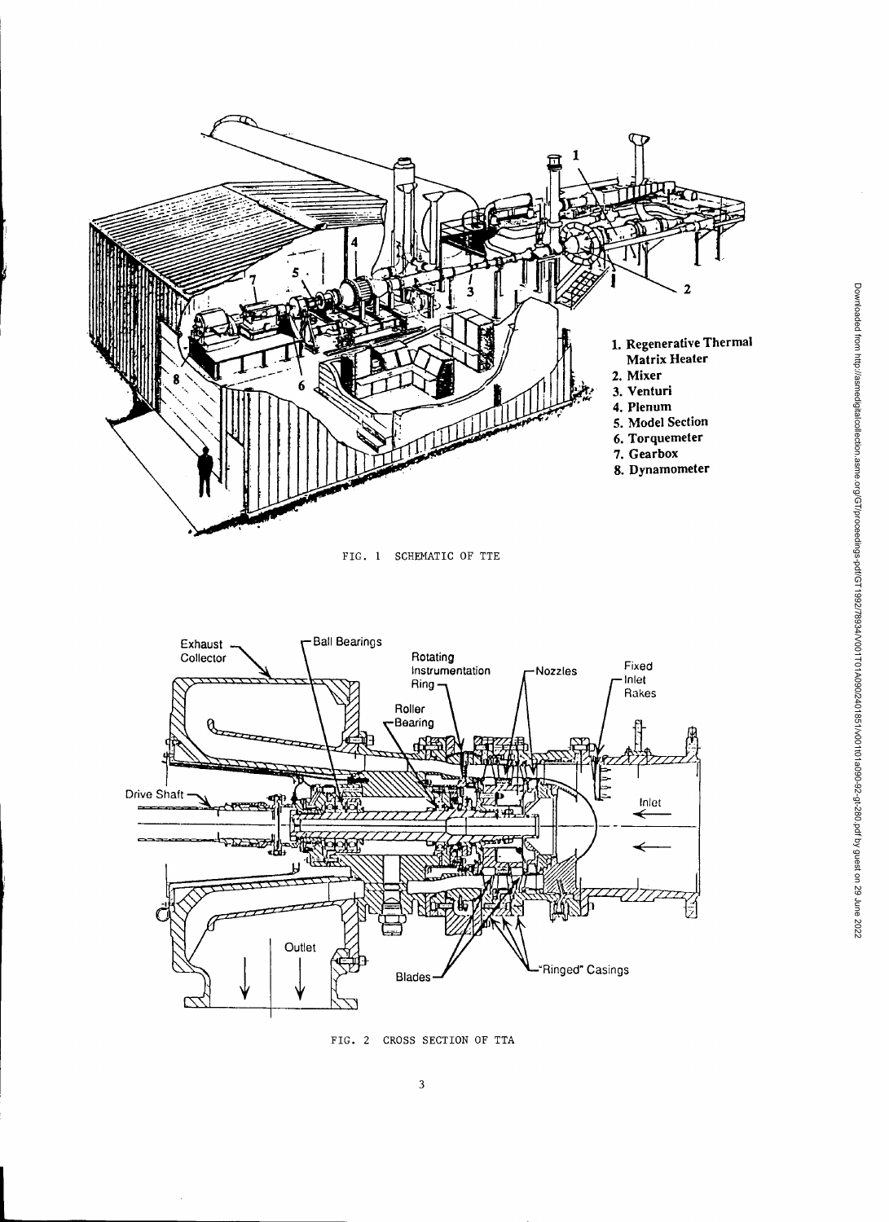

FIG. 2 CROSS SECTION OF TTA

 $\overline{\phantom{a}}$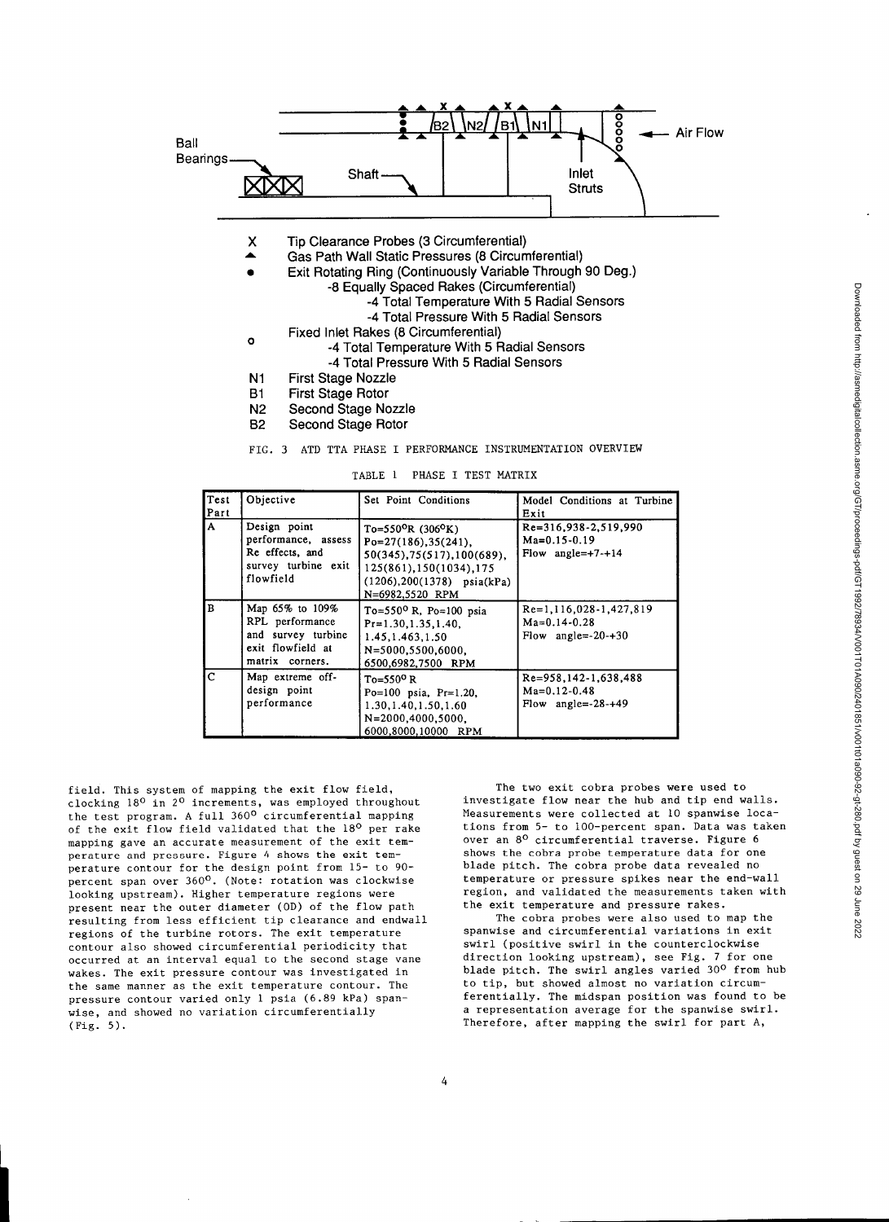

- X Tip Clearance Probes (3 Circumferential)
- Gas Path Wall Static Pressures (8 Circumferential) ▲
- Exit Rotating Ring (Continuously Variable Through 90 Deg.)
	- -8 Equally Spaced Rakes (Circumferential)
		- -4 Total Temperature With 5 Radial Sensors
			- -4 Total Pressure With 5 Radial Sensors
- o Fixed Inlet Rakes (8 Circumferential)
- -4 Total Temperature With 5 Radial Sensors -4 Total Pressure With 5 Radial Sensors
- Ni First Stage Nozzle
- B1 First Stage Rotor
- N2 Second Stage Nozzle
- B2 Second Stage Rotor

FIG. 3 ATD TTA PHASE I PERFORMANCE INSTRUMENTATION OVERVIEW

TABLE 1 PHASE I TEST MATRIX

| Test<br>Part  | Objective                                                                                        | Set Point Conditions                                                                                                                                                     | Model Conditions at Turbine<br>Exit                              |
|---------------|--------------------------------------------------------------------------------------------------|--------------------------------------------------------------------------------------------------------------------------------------------------------------------------|------------------------------------------------------------------|
| $\mathbf{A}$  | Design point<br>performance, assess<br>Re effects, and<br>survey turbine exit<br>flowfield       | $To=550^{\circ}R(306^{\circ}K)$<br>$Po=27(186), 35(241).$<br>50(345), 75(517), 100(689),<br>125(861), 150(1034), 175<br>$(1206), 200(1378)$ psia(kPa)<br>N=6982,5520 RPM | Re=316,938-2,519,990<br>$Ma=0.15-0.19$<br>Flow angle= $+7-+14$   |
| B             | Map 65% to 109%<br>RPL performance<br>and survey turbine<br>exit flowfield at<br>matrix corners. | To=550 <sup>o</sup> R, Po=100 psia<br>$Pr=1.30.1.35.1.40.$<br>1.45, 1.463, 1.50<br>N=5000.5500.6000.<br>6500,6982,7500 RPM                                               | Re=1,116,028-1,427,819<br>$Ma=0.14-0.28$<br>Flow angle= $-20+30$ |
| $\mathcal{C}$ | Map extreme off-<br>design point<br>performance                                                  | $To=550^{\circ}R$<br>Po=100 psia, $Pr=1.20$ ,<br>1.30, 1.40, 1.50, 1.60<br>$N = 2000, 4000, 5000$ .<br>6000,8000,10000 RPM                                               | Re=958.142-1.638.488<br>$Ma=0.12-0.48$<br>Flow angle= $-28-+49$  |

field. This system of mapping the exit flow field, clocking 18° in 2° increments, was employed throughout the test program. A full 360<sup>0</sup> circumferential mapping of the exit flow field validated that the 18° per rake mapping gave an accurate measurement of the exit temperature and pressure. Figure 4 shows the exit temperature contour for the design point from 15- to 90 percent span over 360<sup>o</sup>. (Note: rotation was clockwise looking upstream). Higher temperature regions were present near the outer diameter (OD) of the flow path resulting from less efficient tip clearance and endwall regions of the turbine rotors. The exit temperature contour also showed circumferential periodicity that occurred at an interval equal to the second stage vane wakes. The exit pressure contour was investigated in the same manner as the exit temperature contour. The pressure contour varied only 1 psia (6.89 kPa) spanwise, and showed no variation circumferentially (Fig. 5).

The two exit cobra probes were used to investigate flow near the hub and tip end walls. Measurements were collected at 10 spanwise locations from 5- to 100-percent span. Data was taken over an 80 circumferential traverse. Figure 6 shows the cobra probe temperature data for one blade pitch. The cobra probe data revealed no temperature or pressure spikes near the end-wall region, and validated the measurements taken with the exit temperature and pressure rakes.

The cobra probes were also used to map the spanwise and circumferential variations in exit swirl (positive swirl in the counterclockwise direction looking upstream), see Fig. 7 for one blade pitch. The swirl angles varied 30° from hub to tip, but showed almost no variation circumferentially. The midspan position was found to be a representation average for the spanwise swirl. Therefore, after mapping the swirl for part A,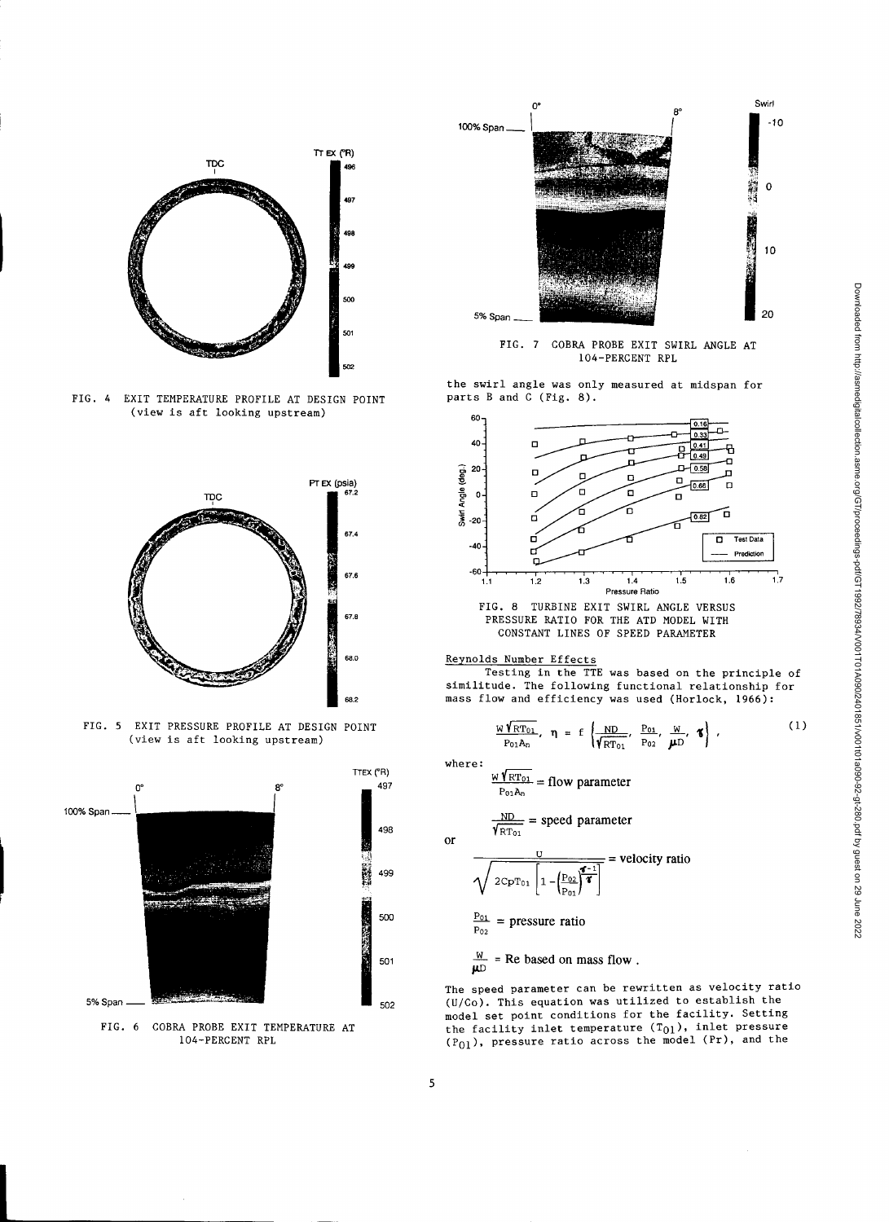

FIG. 4 EXIT TEMPERATURE PROFILE AT DESIGN POINT (view is aft looking upstream)



FIG. 5 EXIT PRESSURE PROFILE AT DESIGN POINT (view is aft looking upstream)



FIG. 6 COBRA PROBE EXIT TEMPERATURE AT 104-PERCENT RPL



FIG. 7 COBRA PROBE EXIT SWIRL ANGLE AT 104-PERCENT RPL

the swirl angle was only measured at midspan for parts B and C (Fig. 8).



FIG. 8 TURBINE EXIT SWIRL ANGLE VERSUS PRESSURE RATIO FOR THE ATD MODEL WITH CONSTANT LINES OF SPEED PARAMETER

### Reynolds Number Effects

Testing in the TTE was based on the principle of similitude. The following functional relationship for mass flow and efficiency was used (Horlock, 1966):

$$
\frac{W\sqrt{\text{RT}_{01}}}{P_{01}A_n}, \quad \eta = f\left(\frac{ND}{\sqrt{\text{RT}_{01}}}, \frac{P_{01}}{P_{02}}, \frac{W}{\mu D}, \mathbf{S}\right), \tag{1}
$$

where:

$$
\frac{W\gamma_{\text{RT}_{01}}}{P_{01}A_0} = \text{flow parameter}
$$

or  
\n
$$
\frac{ND}{\sqrt{RT_{01}}} = speed parameter
$$
\n
$$
\frac{U}{\sqrt{2CpT_{01} \left[1 - \left(\frac{P_{02}}{P_{01}}\right)^{4/2}\right]}} = velocity ratio
$$
\n
$$
\frac{P_{01}}{P_{02}} = pressure ratio
$$

 $\frac{W}{U}$  = Re based on mass flow.

The speed parameter can be rewritten as velocity ratio (U/Co). This equation was utilized to establish the model set point conditions for the facility. Setting the facility inlet temperature  $(T_{01})$ , inlet pressure  $(P_{01})$ , pressure ratio across the model (Pr), and the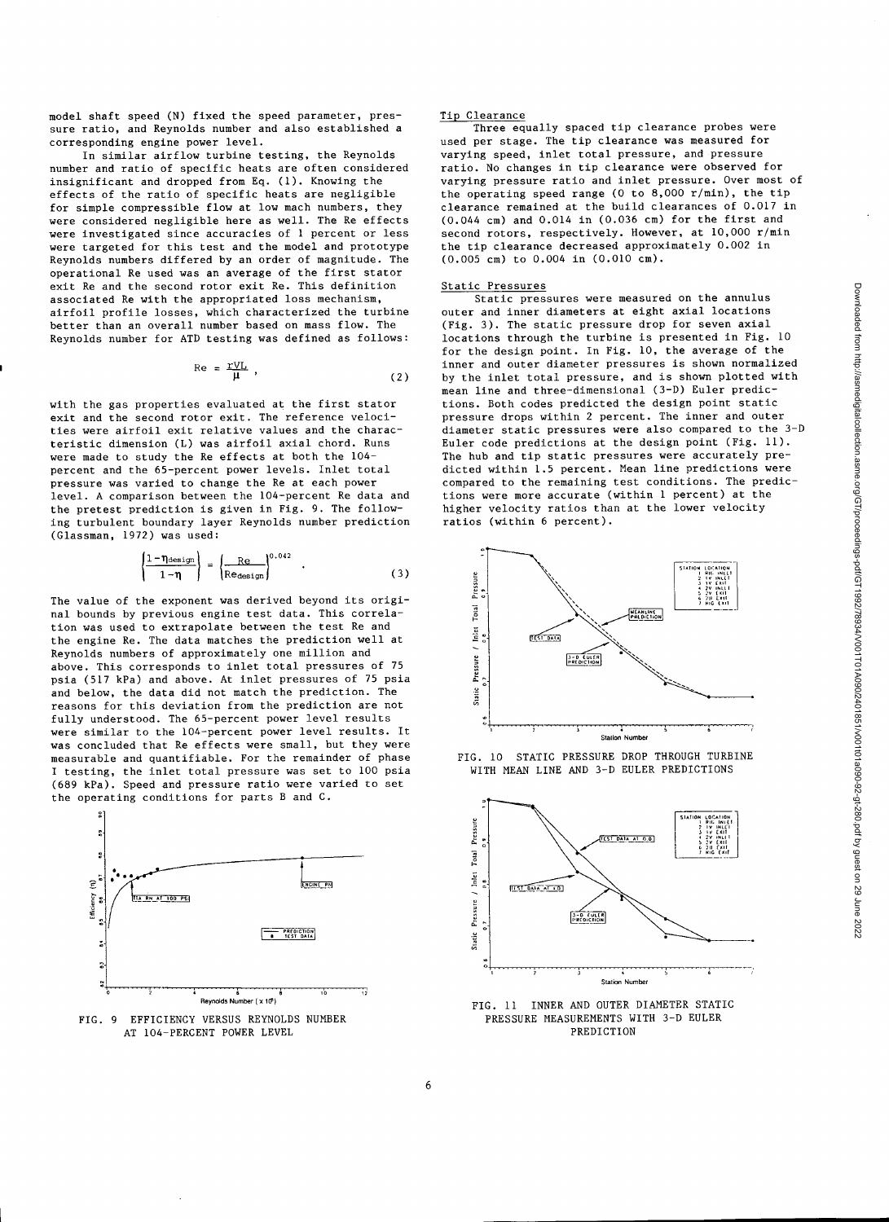model shaft speed (N) fixed the speed parameter, pressure ratio, and Reynolds number and also established a corresponding engine power level.

In similar airflow turbine testing, the Reynolds number and ratio of specific heats are often considered insignificant and dropped from Eq. (1). Knowing the effects of the ratio of specific heats are negligible for simple compressible flow at low mach numbers, they were considered negligible here as well. The Re effects were investigated since accuracies of 1 percent or less were targeted for this test and the model and prototype Reynolds numbers differed by an order of magnitude. The operational Re used was an average of the first stator exit Re and the second rotor exit Re. This definition associated Re with the appropriated loss mechanism, airfoil profile losses, which characterized the turbine better than an overall number based on mass flow. The Reynolds number for ATD testing was defined as follows:

$$
\text{Re} = \frac{\text{rV}_L}{\mu} \,, \tag{2}
$$

with the gas properties evaluated at the first stator exit and the second rotor exit. The reference velocities were airfoil exit relative values and the characteristic dimension (L) was airfoil axial chord. Runs were made to study the Re effects at both the 104 percent and the 65-percent power levels. Inlet total pressure was varied to change the Re at each power level. A comparison between the 104-percent Re data and the pretest prediction is given in Fig. 9. The following turbulent boundary layer Reynolds number prediction (Glassman, 1972) was used:

$$
\left(\frac{1-\eta_{\text{design}}}{1-\eta}\right) = \left(\frac{\text{Re}}{\text{Re}_{\text{design}}}\right)^{0.042} \quad . \tag{3}
$$

The value of the exponent was derived beyond its original bounds by previous engine test data. This correlation was used to extrapolate between the test Re and the engine Re. The data matches the prediction well at Reynolds numbers of approximately one million and above. This corresponds to inlet total pressures of 75 psia (517 kPa) and above. At inlet pressures of 75 psia and below, the data did not match the prediction. The reasons for this deviation from the prediction are not fully understood. The 65-percent power level results were similar to the 104-percent power level results. It was concluded that Re effects were small, but they were measurable and quantifiable. For the remainder of phase I testing, the inlet total pressure was set to 100 psia (689 kPa). Speed and pressure ratio were varied to set the operating conditions for parts B and C.



AT 104-PERCENT POWER LEVEL

#### Tip Clearance

Three equally spaced tip clearance probes were used per stage. The tip clearance was measured for varying speed, inlet total pressure, and pressure ratio. No changes in tip clearance were observed for varying pressure ratio and inlet pressure. Over most of the operating speed range (0 to 8,000 r/min), the tip clearance remained at the build clearances of 0.017 in (0.044 cm) and 0.014 in (0.036 cm) for the first and second rotors, respectively. However, at 10,000 r/min the tip clearance decreased approximately 0.002 in (0.005 cm) to 0.004 in (0.010 cm).

#### Static Pressures

Static pressures were measured on the annulus outer and inner diameters at eight axial locations (Fig. 3). The static pressure drop for seven axial locations through the turbine is presented in Fig. 10 for the design point. In Fig. 10, the average of the inner and outer diameter pressures is shown normalized by the inlet total pressure, and is shown plotted with mean line and three-dimensional (3-D) Euler predictions. Both codes predicted the design point static pressure drops within 2 percent. The inner and outer diameter static pressures were also compared to the 3-D Euler code predictions at the design point (Fig. 11). The hub and tip static pressures were accurately predicted within 1.5 percent. Mean line predictions were compared to the remaining test conditions. The predictions were more accurate (within 1 percent) at the higher velocity ratios than at the lower velocity ratios (within 6 percent).







Reynolds Number (x 10) FIG. 11 INNER AND OUTER DIAMETER STATIC FIG. 9 EFFICIENCY VERSUS REYNOLDS NUMBER<br>
AT 104-PERCENT POWER LEVEL<br>
PREDICTION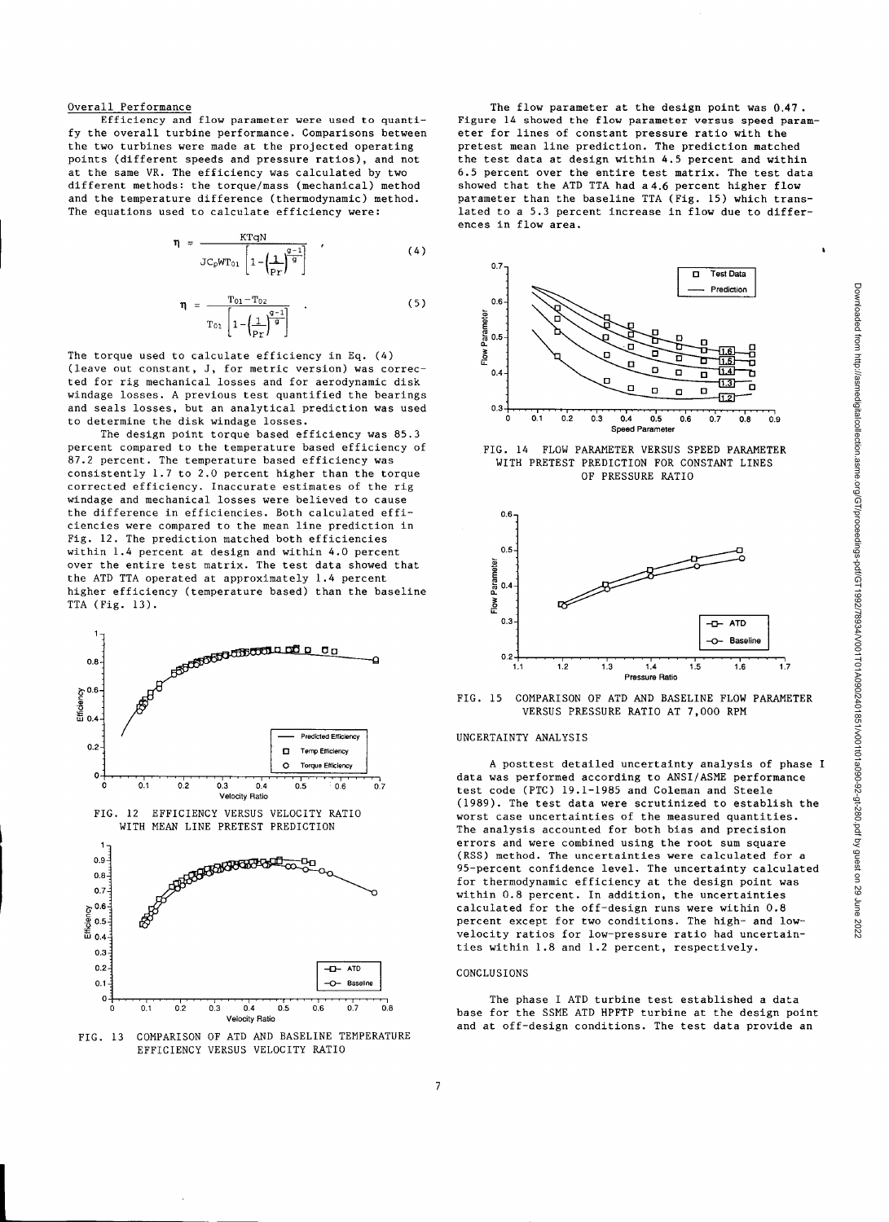#### Overall Performance

Efficiency and flow parameter were used to quantify the overall turbine performance. Comparisons between the two turbines were made at the projected operating points (different speeds and pressure ratios), and not at the same VR. The efficiency was calculated by two different methods: the torque/mass (mechanical) method and the temperature difference (thermodynamic) method.

The equations used to calculate efficiency were:  
\n
$$
\eta = \frac{\text{KTqN}}{\text{JC}_p \text{WT}_{01}} \left[ 1 - \left( \frac{1}{p_T} \right)^{\frac{q-1}{g}} \right] \tag{4}
$$
\n
$$
\eta = \frac{\text{To1} - \text{To2}}{\text{T}_{01}} \tag{5}
$$

$$
\eta = \frac{T_{01} - T_{02}}{T_{01} \left[ 1 - \left( \frac{1}{p_Y} \right)^{\frac{q-1}{9}} \right]}
$$
(5)

The torque used to calculate efficiency in Eq. (4) (leave out constant, J, for metric version) was corrected for rig mechanical losses and for aerodynamic disk windage losses. A previous test quantified the bearings and seals losses, but an analytical prediction was used to determine the disk windage losses.

The design point torque based efficiency was 85.3 percent compared to the temperature based efficiency of 87.2 percent. The temperature based efficiency was consistently 1.7 to 2.0 percent higher than the torque corrected efficiency. Inaccurate estimates of the rig windage and mechanical losses were believed to cause the difference in efficiencies. Both calculated efficiencies were compared to the mean line prediction in Fig. 12. The prediction matched both efficiencies within 1.4 percent at design and within 4.0 percent over the entire test matrix. The test data showed that the ATD TTA operated at approximately 1.4 percent higher efficiency (temperature based) than the baseline TTA (Fig. 13).



FIG. 13 COMPARISON OF ATD AND BASELINE TEMPERATURE EFFICIENCY VERSUS VELOCITY RATIO

The flow parameter at the design point was 0.47. Figure 14 showed the flow parameter versus speed parameter for lines of constant pressure ratio with the pretest mean line prediction. The prediction matched the test data at design within 4.5 percent and within 6.5 percent over the entire test matrix. The test data showed that the ATD TTA had a 4.6 percent higher flow parameter than the baseline TTA (Fig. 15) which translated to a 5.3 percent increase in flow due to differences in flow area.



FIG. 14 FLOW PARAMETER VERSUS SPEED PARAMETER WITH PRETEST PREDICTION FOR CONSTANT LINES OF PRESSURE RATIO



FIG. 15 COMPARISON OF ATD AND BASELINE FLOW PARAMETER VERSUS PRESSURE RATIO AT 7,000 RPM

#### UNCERTAINTY ANALYSIS

A posttest detailed uncertainty analysis of phase I data was performed according to ANSI/ASME performance test code (PTC) 19.1-1985 and Coleman and Steele (1989). The test data were scrutinized to establish the worst case uncertainties of the measured quantities. The analysis accounted for both bias and precision errors and were combined using the root sum square (RSS) method. The uncertainties were calculated for a 95-percent confidence level. The uncertainty calculated for thermodynamic efficiency at the design point was within 0.8 percent. In addition, the uncertainties calculated for the off-design runs were within 0.8 percent except for two conditions. The high- and lowvelocity ratios for low-pressure ratio had uncertainties within 1.8 and 1.2 percent, respectively.

#### CONCLUSIONS

The phase I ATD turbine test established a data base for the SSME ATD HPFTP turbine at the design point and at off-design conditions. The test data provide an